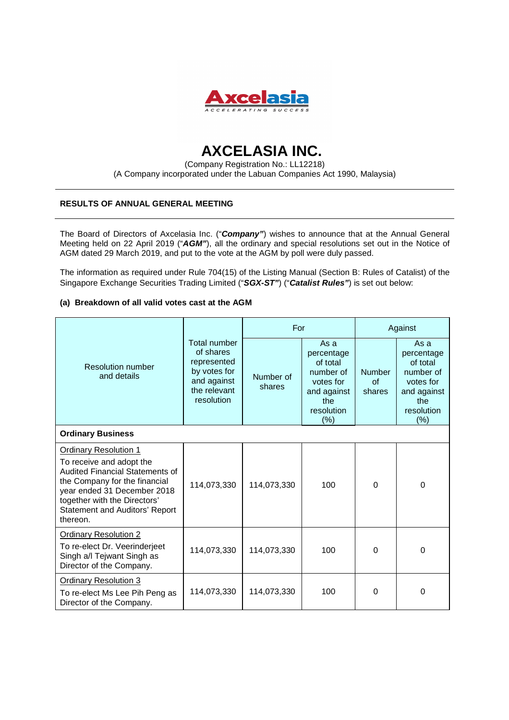

# **AXCELASIA INC.**

(Company Registration No.: LL12218) (A Company incorporated under the Labuan Companies Act 1990, Malaysia)

## **RESULTS OF ANNUAL GENERAL MEETING**

The Board of Directors of Axcelasia Inc. ("**Company"**) wishes to announce that at the Annual General Meeting held on 22 April 2019 ("**AGM"**), all the ordinary and special resolutions set out in the Notice of AGM dated 29 March 2019, and put to the vote at the AGM by poll were duly passed.

The information as required under Rule 704(15) of the Listing Manual (Section B: Rules of Catalist) of the Singapore Exchange Securities Trading Limited ("**SGX-ST"**) ("**Catalist Rules"**) is set out below:

### **(a) Breakdown of all valid votes cast at the AGM**

| <b>Resolution number</b><br>and details                                                                                                                                                                                                                 | Total number<br>of shares<br>represented<br>by votes for<br>and against<br>the relevant<br>resolution | For                 |                                                                                                      | Against                               |                                                                                                        |  |  |  |
|---------------------------------------------------------------------------------------------------------------------------------------------------------------------------------------------------------------------------------------------------------|-------------------------------------------------------------------------------------------------------|---------------------|------------------------------------------------------------------------------------------------------|---------------------------------------|--------------------------------------------------------------------------------------------------------|--|--|--|
|                                                                                                                                                                                                                                                         |                                                                                                       | Number of<br>shares | As a<br>percentage<br>of total<br>number of<br>votes for<br>and against<br>the<br>resolution<br>(% ) | <b>Number</b><br>$\alpha$ f<br>shares | As a<br>percentage<br>of total<br>number of<br>votes for<br>and against<br>the<br>resolution<br>$(\%)$ |  |  |  |
| <b>Ordinary Business</b>                                                                                                                                                                                                                                |                                                                                                       |                     |                                                                                                      |                                       |                                                                                                        |  |  |  |
| <b>Ordinary Resolution 1</b><br>To receive and adopt the<br><b>Audited Financial Statements of</b><br>the Company for the financial<br>year ended 31 December 2018<br>together with the Directors'<br><b>Statement and Auditors' Report</b><br>thereon. | 114,073,330                                                                                           | 114,073,330         | 100                                                                                                  | $\Omega$                              | $\Omega$                                                                                               |  |  |  |
| <b>Ordinary Resolution 2</b><br>To re-elect Dr. Veerinderjeet<br>Singh a/l Tejwant Singh as<br>Director of the Company.                                                                                                                                 | 114,073,330                                                                                           | 114,073,330         | 100                                                                                                  | 0                                     | 0                                                                                                      |  |  |  |
| <b>Ordinary Resolution 3</b><br>To re-elect Ms Lee Pih Peng as<br>Director of the Company.                                                                                                                                                              | 114,073,330                                                                                           | 114,073,330         | 100                                                                                                  | 0                                     | $\Omega$                                                                                               |  |  |  |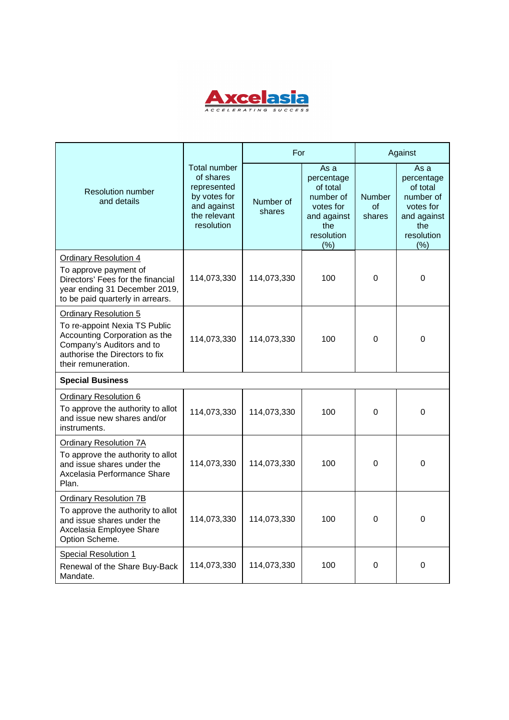

| <b>Resolution number</b><br>and details                                                                                                                                              | <b>Total number</b><br>of shares<br>represented<br>by votes for<br>and against<br>the relevant<br>resolution | For                 |                                                                                                      | Against                               |                                                                                                     |  |  |  |
|--------------------------------------------------------------------------------------------------------------------------------------------------------------------------------------|--------------------------------------------------------------------------------------------------------------|---------------------|------------------------------------------------------------------------------------------------------|---------------------------------------|-----------------------------------------------------------------------------------------------------|--|--|--|
|                                                                                                                                                                                      |                                                                                                              | Number of<br>shares | As a<br>percentage<br>of total<br>number of<br>votes for<br>and against<br>the<br>resolution<br>(% ) | <b>Number</b><br>$\alpha$ f<br>shares | As a<br>percentage<br>of total<br>number of<br>votes for<br>and against<br>the<br>resolution<br>(%) |  |  |  |
| <b>Ordinary Resolution 4</b><br>To approve payment of<br>Directors' Fees for the financial<br>year ending 31 December 2019,<br>to be paid quarterly in arrears.                      | 114,073,330                                                                                                  | 114,073,330         | 100                                                                                                  | 0                                     | 0                                                                                                   |  |  |  |
| <b>Ordinary Resolution 5</b><br>To re-appoint Nexia TS Public<br>Accounting Corporation as the<br>Company's Auditors and to<br>authorise the Directors to fix<br>their remuneration. | 114,073,330                                                                                                  | 114,073,330         | 100                                                                                                  | 0                                     | $\Omega$                                                                                            |  |  |  |
| <b>Special Business</b>                                                                                                                                                              |                                                                                                              |                     |                                                                                                      |                                       |                                                                                                     |  |  |  |
| <b>Ordinary Resolution 6</b><br>To approve the authority to allot<br>and issue new shares and/or<br>instruments.                                                                     | 114,073,330                                                                                                  | 114,073,330         | 100                                                                                                  | 0                                     | $\mathbf 0$                                                                                         |  |  |  |
| <b>Ordinary Resolution 7A</b><br>To approve the authority to allot<br>and issue shares under the<br>Axcelasia Performance Share<br>Plan.                                             | 114,073,330                                                                                                  | 114,073,330         | 100                                                                                                  | $\Omega$                              | 0                                                                                                   |  |  |  |
| <b>Ordinary Resolution 7B</b><br>To approve the authority to allot<br>and issue shares under the<br>Axcelasia Employee Share<br>Option Scheme.                                       | 114,073,330                                                                                                  | 114,073,330         | 100                                                                                                  | 0                                     | 0                                                                                                   |  |  |  |
| Special Resolution 1<br>Renewal of the Share Buy-Back<br>Mandate.                                                                                                                    | 114,073,330                                                                                                  | 114,073,330         | 100                                                                                                  | 0                                     | 0                                                                                                   |  |  |  |